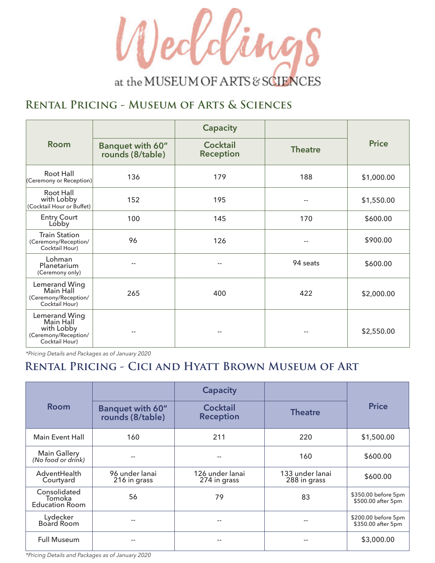

### **Rental Pricing - Museum of Arts & Sciences**

| <b>Room</b>                                                                        | Banquet with 60"<br>rounds (8/table) | <b>Capacity</b><br><b>Cocktail</b><br><b>Reception</b> | <b>Theatre</b> | <b>Price</b> |
|------------------------------------------------------------------------------------|--------------------------------------|--------------------------------------------------------|----------------|--------------|
| Root Hall<br>(Ceremony or Reception)                                               | 136                                  | 179                                                    | 188            | \$1,000.00   |
| Root Hall<br>with Lobby<br>(Cocktail Hour or Buffet)                               | 152                                  | 195                                                    | --             | \$1,550.00   |
| <b>Entry Court</b><br>Lóbby                                                        | 100                                  | 145                                                    | 170            | \$600.00     |
| <b>Train Station</b><br>(Ceremony/Reception/<br>Cocktail Hour)                     | 96                                   | 126                                                    |                | \$900.00     |
| Lohman<br>Planetarium<br>(Ceremony only)                                           |                                      |                                                        | 94 seats       | \$600.00     |
| Lemerand Wing<br>Main Hall<br>(Ceremony/Reception/<br>Cocktail Hour)               | 265                                  | 400                                                    | 422            | \$2,000.00   |
| Lemerand Wing<br>Main Hall<br>with Lobby<br>(Ceremony/Reception/<br>Cocktail Hour) |                                      |                                                        |                | \$2,550.00   |

*\*Pricing Details and Packages as of January 2020*

#### **Rental Pricing - Cici and Hyatt Brown Museum of Art**

| <b>Room</b>                                     |                                             | <b>Capacity</b>                     |                                 | <b>Price</b>                              |
|-------------------------------------------------|---------------------------------------------|-------------------------------------|---------------------------------|-------------------------------------------|
|                                                 | <b>Banquet with 60"</b><br>rounds (8/table) | <b>Cocktail</b><br><b>Reception</b> | <b>Theatre</b>                  |                                           |
| <b>Main Event Hall</b>                          | 160                                         | 211                                 | 220                             | \$1,500.00                                |
| <b>Main Gallery</b><br>(No food or drink)       |                                             |                                     | 160                             | \$600.00                                  |
| AdventHealth<br>Courtyard                       | 96 under lanai<br>216 in grass              | 126 under lanai<br>274 in grass     | 133 under lanai<br>288 in grass | \$600.00                                  |
| Consolidated<br>Tomoka<br><b>Education Room</b> | 56                                          | 79                                  | 83                              | \$350.00 before 5pm<br>\$500.00 after 5pm |
| Lydecker<br>Board Room                          | $-$                                         | --                                  | --                              | \$200.00 before 5pm<br>\$350.00 after 5pm |
| <b>Full Museum</b>                              |                                             | $- -$                               |                                 | \$3,000.00                                |

*\*Pricing Details and Packages as of January 2020*